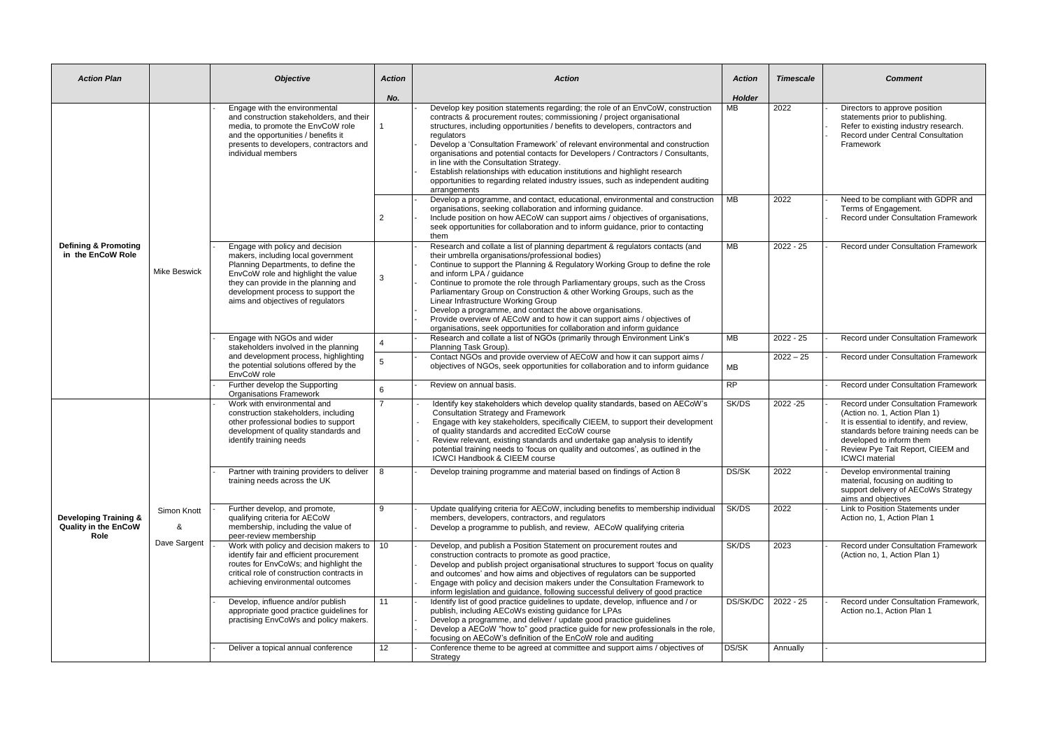| <b>Action Plan</b>                                                      |                                  | <b>Objective</b>                                                                                                                                                                                                                                                       | <b>Action</b>  | <b>Action</b>                                                                                                                                                                                                                                                                                                                                                                                                                                                                                                                                                                                                                                                                                                                              | <b>Action</b>         | <b>Timescale</b> | <b>Comment</b>                                                                                                                                                                                                                                       |
|-------------------------------------------------------------------------|----------------------------------|------------------------------------------------------------------------------------------------------------------------------------------------------------------------------------------------------------------------------------------------------------------------|----------------|--------------------------------------------------------------------------------------------------------------------------------------------------------------------------------------------------------------------------------------------------------------------------------------------------------------------------------------------------------------------------------------------------------------------------------------------------------------------------------------------------------------------------------------------------------------------------------------------------------------------------------------------------------------------------------------------------------------------------------------------|-----------------------|------------------|------------------------------------------------------------------------------------------------------------------------------------------------------------------------------------------------------------------------------------------------------|
|                                                                         |                                  |                                                                                                                                                                                                                                                                        | No.            |                                                                                                                                                                                                                                                                                                                                                                                                                                                                                                                                                                                                                                                                                                                                            | <b>Holder</b>         |                  |                                                                                                                                                                                                                                                      |
| <b>Defining &amp; Promoting</b><br>in the EnCoW Role                    | Mike Beswick                     | Engage with the environmental<br>and construction stakeholders, and their<br>media, to promote the EnvCoW role<br>and the opportunities / benefits it<br>presents to developers, contractors and<br>individual members                                                 |                | Develop key position statements regarding; the role of an EnvCoW, construction<br>contracts & procurement routes; commissioning / project organisational<br>structures, including opportunities / benefits to developers, contractors and<br>regulators<br>Develop a 'Consultation Framework' of relevant environmental and construction<br>organisations and potential contacts for Developers / Contractors / Consultants,<br>in line with the Consultation Strategy.<br>Establish relationships with education institutions and highlight research<br>opportunities to regarding related industry issues, such as independent auditing<br>arrangements<br>Develop a programme, and contact, educational, environmental and construction | $\overline{MB}$<br>MB | 2022<br>2022     | Directors to approve position<br>statements prior to publishing.<br>Refer to existing industry research.<br><b>Record under Central Consultation</b><br>Framework<br>Need to be compliant with GDPR and                                              |
|                                                                         |                                  |                                                                                                                                                                                                                                                                        | $\overline{2}$ | organisations, seeking collaboration and informing guidance.<br>Include position on how AECoW can support aims / objectives of organisations,<br>seek opportunities for collaboration and to inform guidance, prior to contacting<br>them                                                                                                                                                                                                                                                                                                                                                                                                                                                                                                  |                       |                  | Terms of Engagement.<br><b>Record under Consultation Framework</b>                                                                                                                                                                                   |
|                                                                         |                                  | Engage with policy and decision<br>makers, including local government<br>Planning Departments, to define the<br>EnvCoW role and highlight the value<br>they can provide in the planning and<br>development process to support the<br>aims and objectives of regulators | 3              | Research and collate a list of planning department & regulators contacts (and<br>their umbrella organisations/professional bodies)<br>Continue to support the Planning & Regulatory Working Group to define the role<br>and inform LPA / guidance<br>Continue to promote the role through Parliamentary groups, such as the Cross<br>Parliamentary Group on Construction & other Working Groups, such as the<br>Linear Infrastructure Working Group<br>Develop a programme, and contact the above organisations.<br>Provide overview of AECoW and to how it can support aims / objectives of<br>organisations, seek opportunities for collaboration and inform guidance                                                                    | $\overline{MB}$       | $2022 - 25$      | Record under Consultation Framework                                                                                                                                                                                                                  |
|                                                                         |                                  | Engage with NGOs and wider<br>stakeholders involved in the planning<br>and development process, highlighting<br>the potential solutions offered by the<br>EnvCoW role                                                                                                  |                | Research and collate a list of NGOs (primarily through Environment Link's<br>Planning Task Group).                                                                                                                                                                                                                                                                                                                                                                                                                                                                                                                                                                                                                                         | MB                    | $2022 - 25$      | <b>Record under Consultation Framework</b>                                                                                                                                                                                                           |
|                                                                         |                                  |                                                                                                                                                                                                                                                                        |                | Contact NGOs and provide overview of AECoW and how it can support aims /<br>objectives of NGOs, seek opportunities for collaboration and to inform guidance                                                                                                                                                                                                                                                                                                                                                                                                                                                                                                                                                                                | MB                    | $2022 - 25$      | Record under Consultation Framework                                                                                                                                                                                                                  |
|                                                                         |                                  | Further develop the Supporting<br><b>Organisations Framework</b>                                                                                                                                                                                                       | 6              | Review on annual basis.                                                                                                                                                                                                                                                                                                                                                                                                                                                                                                                                                                                                                                                                                                                    | RP                    |                  | Record under Consultation Framework                                                                                                                                                                                                                  |
| <b>Developing Training &amp;</b><br><b>Quality in the EnCoW</b><br>Role | Simon Knott<br>&<br>Dave Sargent | Work with environmental and<br>construction stakeholders, including<br>other professional bodies to support<br>development of quality standards and<br>identify training needs                                                                                         | 7              | Identify key stakeholders which develop quality standards, based on AECoW's<br><b>Consultation Strategy and Framework</b><br>Engage with key stakeholders, specifically CIEEM, to support their development<br>of quality standards and accredited EcCoW course<br>Review relevant, existing standards and undertake gap analysis to identify<br>potential training needs to 'focus on quality and outcomes', as outlined in the<br><b>ICWCI Handbook &amp; CIEEM course</b>                                                                                                                                                                                                                                                               | SK/DS                 | 2022 - 25        | <b>Record under Consultation Framework</b><br>(Action no. 1, Action Plan 1)<br>It is essential to identify, and review,<br>standards before training needs can be<br>developed to inform them<br>Review Pye Tait Report, CIEEM and<br>ICWCI material |
|                                                                         |                                  | Partner with training providers to deliver $\vert$ 8<br>training needs across the UK                                                                                                                                                                                   |                | Develop training programme and material based on findings of Action 8                                                                                                                                                                                                                                                                                                                                                                                                                                                                                                                                                                                                                                                                      | DS/SK                 | 2022             | Develop environmental training<br>material, focusing on auditing to<br>support delivery of AECoWs Strategy<br>aims and objectives                                                                                                                    |
|                                                                         |                                  | Further develop, and promote,<br>qualifying criteria for AECoW<br>membership, including the value of<br>peer-review membership                                                                                                                                         | 9              | Update qualifying criteria for AECoW, including benefits to membership individual<br>members, developers, contractors, and regulators<br>Develop a programme to publish, and review, AECoW qualifying criteria                                                                                                                                                                                                                                                                                                                                                                                                                                                                                                                             | SK/DS                 | 2022             | Link to Position Statements under<br>Action no. 1. Action Plan 1                                                                                                                                                                                     |
|                                                                         |                                  | Work with policy and decision makers to $\vert$ 10<br>identify fair and efficient procurement<br>routes for EnvCoWs; and highlight the<br>critical role of construction contracts in<br>achieving environmental outcomes                                               |                | Develop, and publish a Position Statement on procurement routes and<br>construction contracts to promote as good practice,<br>Develop and publish project organisational structures to support 'focus on quality<br>and outcomes' and how aims and objectives of regulators can be supported<br>Engage with policy and decision makers under the Consultation Framework to<br>inform legislation and guidance, following successful delivery of good practice                                                                                                                                                                                                                                                                              | SK/DS                 | 2023             | Record under Consultation Framework<br>(Action no, 1, Action Plan 1)                                                                                                                                                                                 |
|                                                                         |                                  | Develop, influence and/or publish<br>appropriate good practice guidelines for<br>practising EnvCoWs and policy makers.                                                                                                                                                 | 11             | Identify list of good practice guidelines to update, develop, influence and / or<br>publish, including AECoWs existing guidance for LPAs<br>Develop a programme, and deliver / update good practice guidelines<br>Develop a AECoW "how to" good practice guide for new professionals in the role,<br>focusing on AECoW's definition of the EnCoW role and auditing                                                                                                                                                                                                                                                                                                                                                                         | DS/SK/DC   2022 - 25  |                  | Record under Consultation Framework,<br>Action no.1, Action Plan 1                                                                                                                                                                                   |
|                                                                         |                                  | Deliver a topical annual conference                                                                                                                                                                                                                                    | 12             | Conference theme to be agreed at committee and support aims / objectives of<br>Strategy                                                                                                                                                                                                                                                                                                                                                                                                                                                                                                                                                                                                                                                    | DS/SK                 | Annually         |                                                                                                                                                                                                                                                      |